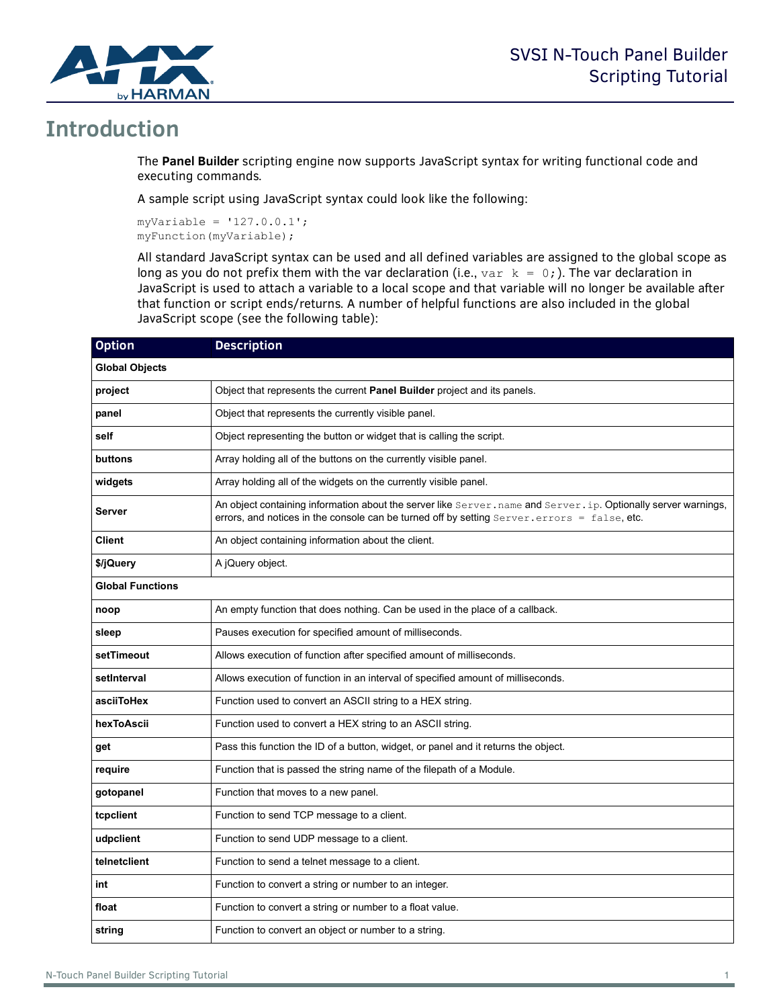

## **Introduction**

The **Panel Builder** scripting engine now supports JavaScript syntax for writing functional code and executing commands.

A sample script using JavaScript syntax could look like the following:

```
myVariable = '127.0.0.1';
myFunction(myVariable);
```
All standard JavaScript syntax can be used and all defined variables are assigned to the global scope as long as you do not prefix them with the var declaration (i.e.,  $var k = 0$ ;). The var declaration in JavaScript is used to attach a variable to a local scope and that variable will no longer be available after that function or script ends/returns. A number of helpful functions are also included in the global JavaScript scope (see the following table):

| <b>Option</b>           | <b>Description</b>                                                                                                                                                                                           |
|-------------------------|--------------------------------------------------------------------------------------------------------------------------------------------------------------------------------------------------------------|
| <b>Global Objects</b>   |                                                                                                                                                                                                              |
| project                 | Object that represents the current Panel Builder project and its panels.                                                                                                                                     |
| panel                   | Object that represents the currently visible panel.                                                                                                                                                          |
| self                    | Object representing the button or widget that is calling the script.                                                                                                                                         |
| buttons                 | Array holding all of the buttons on the currently visible panel.                                                                                                                                             |
| widgets                 | Array holding all of the widgets on the currently visible panel.                                                                                                                                             |
| Server                  | An object containing information about the server like Server.name and Server.ip. Optionally server warnings,<br>errors, and notices in the console can be turned off by setting Server.errors = false, etc. |
| Client                  | An object containing information about the client.                                                                                                                                                           |
| \$/jQuery               | A jQuery object.                                                                                                                                                                                             |
| <b>Global Functions</b> |                                                                                                                                                                                                              |
| noop                    | An empty function that does nothing. Can be used in the place of a callback.                                                                                                                                 |
| sleep                   | Pauses execution for specified amount of milliseconds.                                                                                                                                                       |
| setTimeout              | Allows execution of function after specified amount of milliseconds.                                                                                                                                         |
| setInterval             | Allows execution of function in an interval of specified amount of milliseconds.                                                                                                                             |
| asciiToHex              | Function used to convert an ASCII string to a HEX string.                                                                                                                                                    |
| hexToAscii              | Function used to convert a HEX string to an ASCII string.                                                                                                                                                    |
| get                     | Pass this function the ID of a button, widget, or panel and it returns the object.                                                                                                                           |
| require                 | Function that is passed the string name of the filepath of a Module.                                                                                                                                         |
| gotopanel               | Function that moves to a new panel.                                                                                                                                                                          |
| tcpclient               | Function to send TCP message to a client.                                                                                                                                                                    |
| udpclient               | Function to send UDP message to a client.                                                                                                                                                                    |
| telnetclient            | Function to send a telnet message to a client.                                                                                                                                                               |
| int                     | Function to convert a string or number to an integer.                                                                                                                                                        |
| float                   | Function to convert a string or number to a float value.                                                                                                                                                     |
| string                  | Function to convert an object or number to a string.                                                                                                                                                         |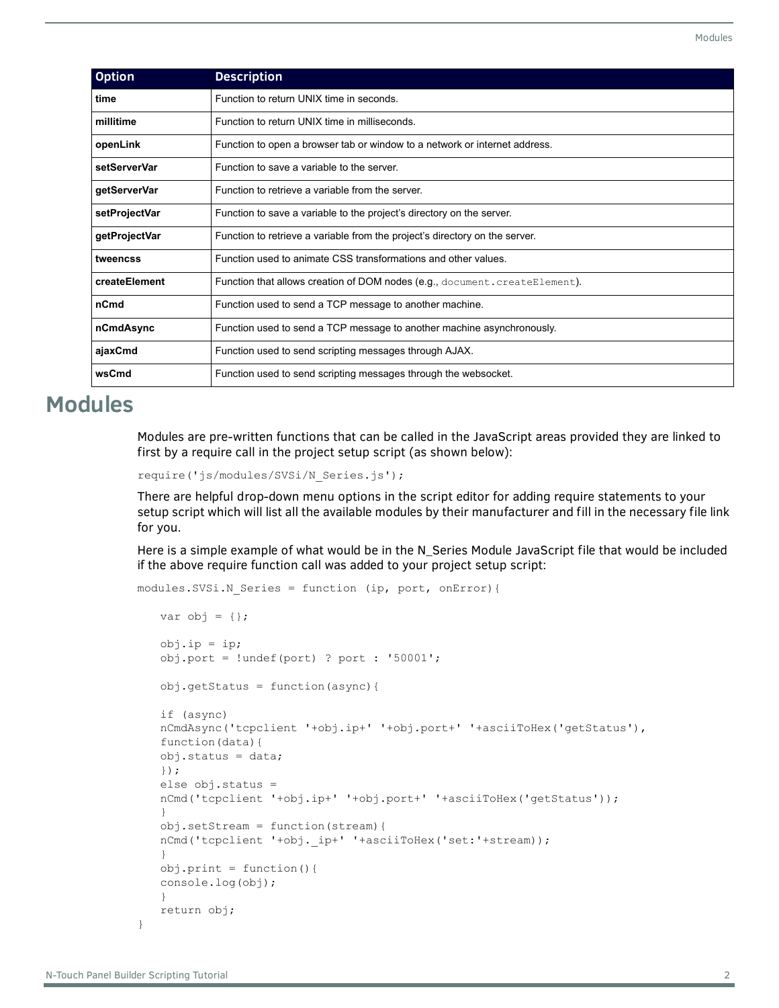| <b>Option</b> | <b>Description</b>                                                          |
|---------------|-----------------------------------------------------------------------------|
| time          | Function to return UNIX time in seconds.                                    |
| millitime     | Function to return UNIX time in milliseconds.                               |
| openLink      | Function to open a browser tab or window to a network or internet address.  |
| setServerVar  | Function to save a variable to the server.                                  |
| getServerVar  | Function to retrieve a variable from the server.                            |
| setProjectVar | Function to save a variable to the project's directory on the server.       |
| getProjectVar | Function to retrieve a variable from the project's directory on the server. |
| tweencss      | Function used to animate CSS transformations and other values.              |
| createElement | Function that allows creation of DOM nodes (e.g., document.createElement).  |
| nCmd          | Function used to send a TCP message to another machine.                     |
| nCmdAsync     | Function used to send a TCP message to another machine asynchronously.      |
| ajaxCmd       | Function used to send scripting messages through AJAX.                      |
| wsCmd         | Function used to send scripting messages through the websocket.             |

## **Modules**

Modules are pre-written functions that can be called in the JavaScript areas provided they are linked to first by a require call in the project setup script (as shown below):

```
require('js/modules/SVSi/N_Series.js');
```
There are helpful drop-down menu options in the script editor for adding require statements to your setup script which will list all the available modules by their manufacturer and fill in the necessary file link for you.

Here is a simple example of what would be in the N\_Series Module JavaScript file that would be included if the above require function call was added to your project setup script:

```
modules.SVSi.N_Series = function (ip, port, onError){
```

```
var obj = \{\};obj.ip = ip;
obj.port = !undef(port) ? port : '50001';
obj.getStatus = function(async){
if (async)
nCmdAsync('tcpclient '+obj.ip+' '+obj.port+' '+asciiToHex('getStatus'),
function(data){
obj.status = data;
});
else obj.status =
nCmd('tcpclient '+obj.ip+' '+obj.port+' '+asciiToHex('getStatus'));
}
obj.setStream = function(stream){
nCmd('tcpclient '+obj._ip+' '+asciiToHex('set:'+stream));
}
obj.print = function(){
console.log(obj);
}
return obj;
```
}